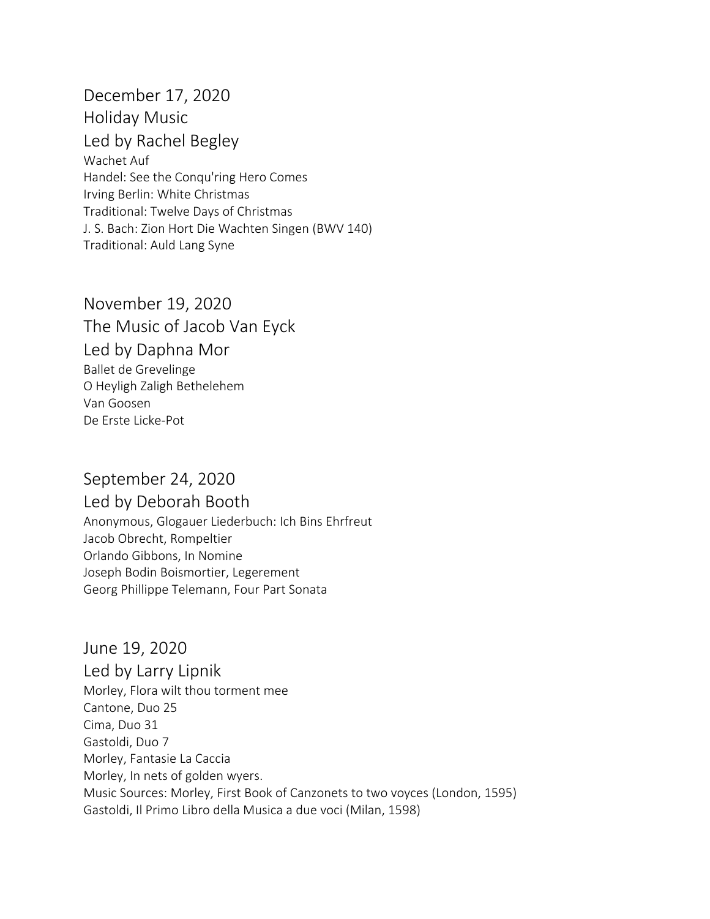December 17, 2020 Holiday Music Led by Rachel Begley Wachet Auf Handel: See the Conqu'ring Hero Comes Irving Berlin: White Christmas Traditional: Twelve Days of Christmas J. S. Bach: Zion Hort Die Wachten Singen (BWV 140) Traditional: Auld Lang Syne

November 19, 2020 The Music of Jacob Van Eyck Led by Daphna Mor Ballet de Grevelinge O Heyligh Zaligh Bethelehem Van Goosen De Erste Licke-Pot

## September 24, 2020

Led by Deborah Booth Anonymous, Glogauer Liederbuch: Ich Bins Ehrfreut Jacob Obrecht, Rompeltier Orlando Gibbons, In Nomine Joseph Bodin Boismortier, Legerement Georg Phillippe Telemann, Four Part Sonata

June 19, 2020 Led by Larry Lipnik Morley, Flora wilt thou torment mee Cantone, Duo 25 Cima, Duo 31 Gastoldi, Duo 7 Morley, Fantasie La Caccia Morley, In nets of golden wyers. Music Sources: Morley, First Book of Canzonets to two voyces (London, 1595) Gastoldi, Il Primo Libro della Musica a due voci (Milan, 1598)